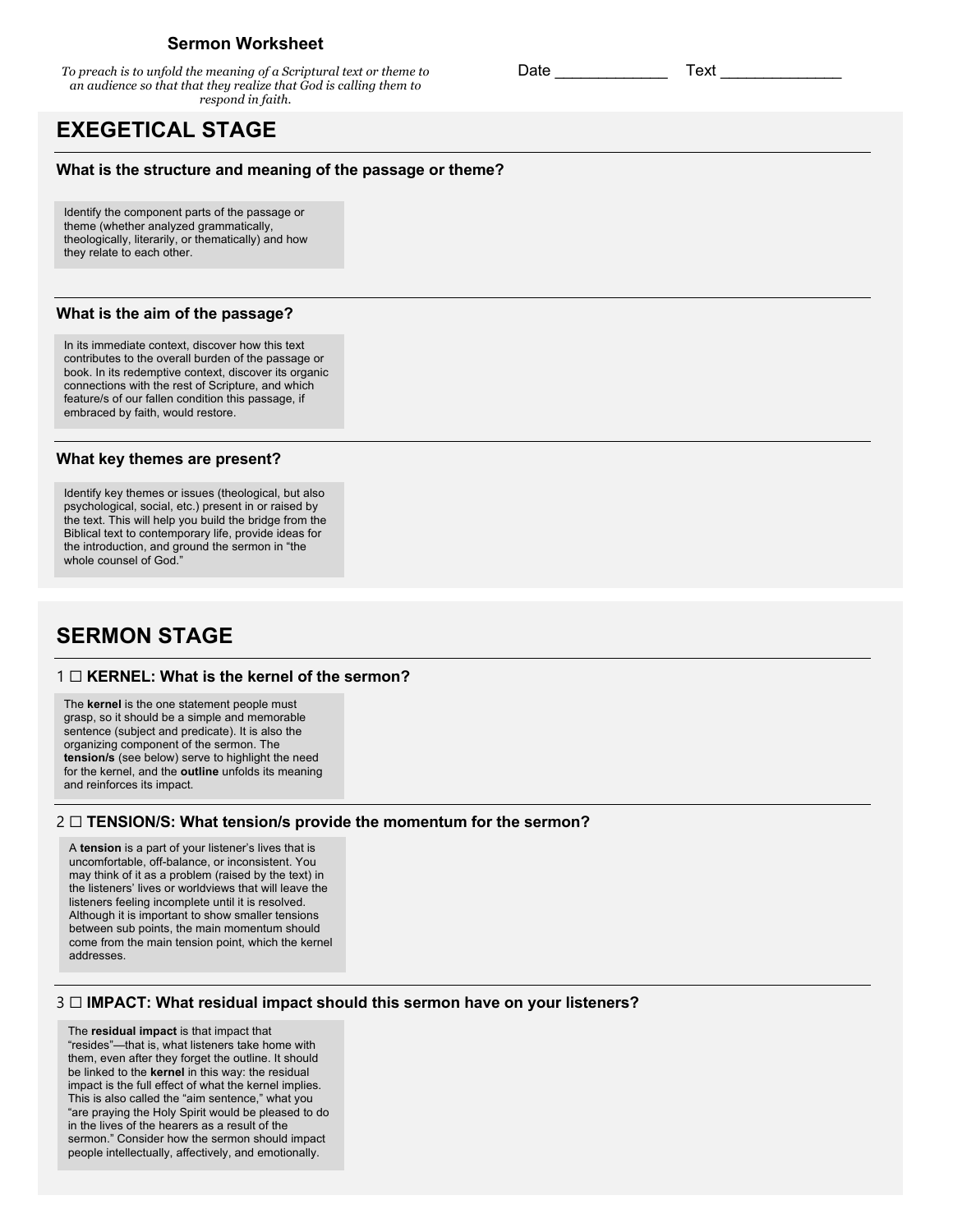## **Sermon Worksheet**

*To preach is to unfold the meaning of a Scriptural text or theme to an audience so that that they realize that God is calling them to respond in faith.*

# **EXEGETICAL STAGE**

#### **What is the structure and meaning of the passage or theme?**

Identify the component parts of the passage or theme (whether analyzed grammatically, theologically, literarily, or thematically) and how they relate to each other.

#### **What is the aim of the passage?**

In its immediate context, discover how this text contributes to the overall burden of the passage or book. In its redemptive context, discover its organic connections with the rest of Scripture, and which feature/s of our fallen condition this passage, if embraced by faith, would restore.

#### **What key themes are present?**

Identify key themes or issues (theological, but also psychological, social, etc.) present in or raised by the text. This will help you build the bridge from the Biblical text to contemporary life, provide ideas for the introduction, and ground the sermon in "the whole counsel of God."

# **SERMON STAGE**

#### 1 ☐ **KERNEL: What is the kernel of the sermon?**

The **kernel** is the one statement people must grasp, so it should be a simple and memorable sentence (subject and predicate). It is also the organizing component of the sermon. The **tension/s** (see below) serve to highlight the need for the kernel, and the **outline** unfolds its meaning and reinforces its impact.

#### 2 ☐ **TENSION/S: What tension/s provide the momentum for the sermon?**

A **tension** is a part of your listener's lives that is uncomfortable, off-balance, or inconsistent. You may think of it as a problem (raised by the text) in the listeners' lives or worldviews that will leave the listeners feeling incomplete until it is resolved. Although it is important to show smaller tensions between sub points, the main momentum should come from the main tension point, which the kernel addresses.

#### 3 ☐ **IMPACT: What residual impact should this sermon have on your listeners?**

The **residual impact** is that impact that "resides"—that is, what listeners take home with them, even after they forget the outline. It should be linked to the **kernel** in this way: the residual impact is the full effect of what the kernel implies. This is also called the "aim sentence," what you "are praying the Holy Spirit would be pleased to do in the lives of the hearers as a result of the sermon." Consider how the sermon should impact people intellectually, affectively, and emotionally.

Date \_\_\_\_\_\_\_\_\_\_\_\_\_ Text \_\_\_\_\_\_\_\_\_\_\_\_\_\_